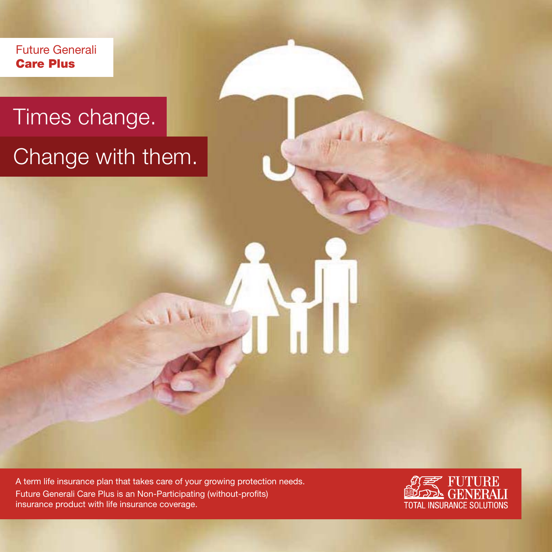Future Generali **Care Plus**

# Times change.

# Change with them.

A term life insurance plan that takes care of your growing protection needs. Future Generali Care Plus is an Non-Participating (without-profits) insurance product with life insurance coverage.

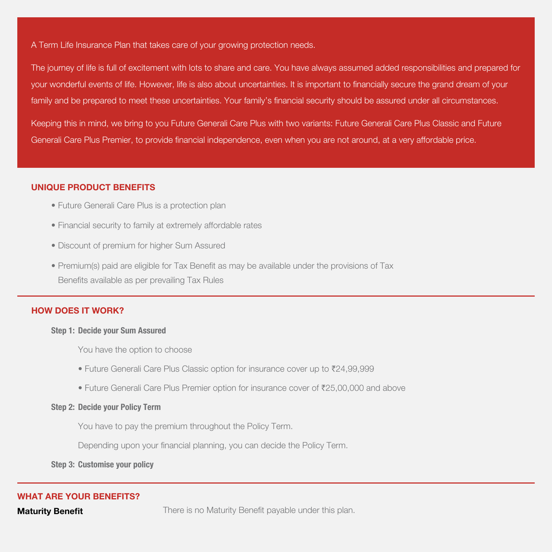A Term Life Insurance Plan that takes care of your growing protection needs.

The journey of life is full of excitement with lots to share and care. You have always assumed added responsibilities and prepared for your wonderful events of life. However, life is also about uncertainties. It is important to financially secure the grand dream of your family and be prepared to meet these uncertainties. Your family's financial security should be assured under all circumstances.

Keeping this in mind, we bring to you Future Generali Care Plus with two variants: Future Generali Care Plus Classic and Future Generali Care Plus Premier, to provide financial independence, even when you are not around, at a very affordable price.

# **UNIQUE PRODUCT BENEFITS**

- Future Generali Care Plus is a protection plan
- Financial security to family at extremely affordable rates
- Discount of premium for higher Sum Assured
- Premium(s) paid are eligible for Tax Benefit as may be available under the provisions of Tax Benefits available as per prevailing Tax Rules

# **HOW DOES IT WORK?**

#### **Step 1: Decide your Sum Assured**

You have the option to choose

- Future Generali Care Plus Classic option for insurance cover up to ₹24,99,999
- Future Generali Care Plus Premier option for insurance cover of  $\bar{\tau}$ 25,00,000 and above

### **Step 2: Decide your Policy Term**

You have to pay the premium throughout the Policy Term.

Depending upon your financial planning, you can decide the Policy Term.

**Step 3: Customise your policy**

# **WHAT ARE YOUR BENEFITS?**

**Maturity Benefit** There is no Maturity Benefit payable under this plan.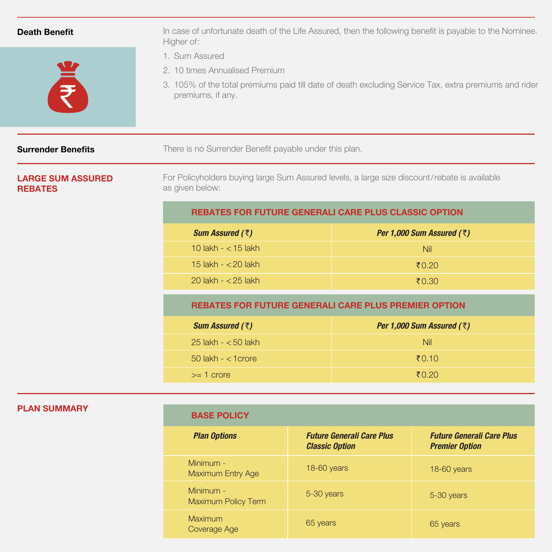| <b>Death Benefit</b>                       | In case of unfortunate death of the Life Assured, then the following benefit is payable to the Nominee.<br>Higher of:                                                          |                             |  |
|--------------------------------------------|--------------------------------------------------------------------------------------------------------------------------------------------------------------------------------|-----------------------------|--|
| NE<br>N                                    | 1. Sum Assured<br>2. 10 times Annualised Premium<br>3. 105% of the total premiums paid till date of death excluding Service Tax, extra premiums and rider<br>premiums, if any. |                             |  |
| <b>Surrender Benefits</b>                  | There is no Surrender Benefit payable under this plan.                                                                                                                         |                             |  |
| <b>LARGE SUM ASSURED</b><br><b>REBATES</b> | For Policyholders buying large Sum Assured levels, a large size discount/rebate is available<br>as given below:                                                                |                             |  |
|                                            | <b>REBATES FOR FUTURE GENERALI CARE PLUS CLASSIC OPTION</b>                                                                                                                    |                             |  |
|                                            | Sum Assured $(3)$                                                                                                                                                              | Per 1,000 Sum Assured $(3)$ |  |
|                                            | 10 lakh $- < 15$ lakh                                                                                                                                                          | <b>Nil</b>                  |  |
|                                            | 15 lakh - < 20 lakh                                                                                                                                                            | $\bar{5}0.20$               |  |
|                                            | 20 lakh $- <$ 25 lakh                                                                                                                                                          | ₹0.30                       |  |
|                                            | <b>REBATES FOR FUTURE GENERALI CARE PLUS PREMIER OPTION</b>                                                                                                                    |                             |  |
|                                            | Sum Assured (₹)                                                                                                                                                                | Per 1,000 Sum Assured $(3)$ |  |
|                                            | $25$ lakh - $<$ 50 lakh                                                                                                                                                        | <b>Nil</b>                  |  |
|                                            | 50 lakh - < 1 crore                                                                                                                                                            | ₹0.10                       |  |
|                                            | $>= 1$ crore                                                                                                                                                                   | ₹0.20                       |  |

# **PLAN SUMMARY**

# **BASE POLICY**

| <b>Plan Options</b>                     | <b>Future Generali Care Plus</b><br><b>Classic Option</b> | <b>Future Generali Care Plus</b><br><b>Premier Option</b> |
|-----------------------------------------|-----------------------------------------------------------|-----------------------------------------------------------|
| $Minimum -$<br><b>Maximum Entry Age</b> | 18-60 years                                               | 18-60 years                                               |
| Minimum -<br><b>Maximum Policy Term</b> | 5-30 years                                                | 5-30 years                                                |
| Maximum<br>Coverage Age                 | 65 years                                                  | 65 years                                                  |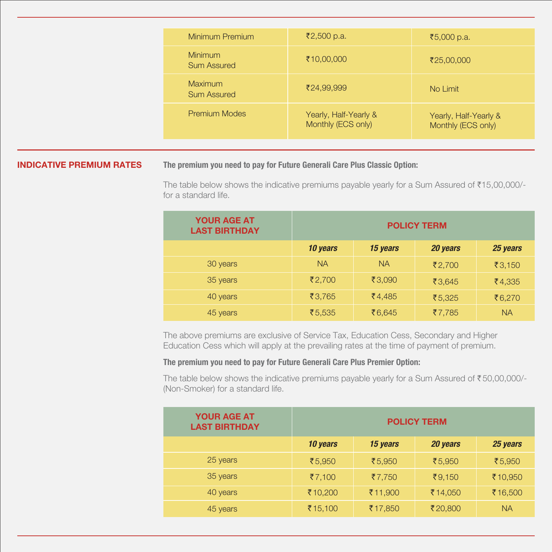| Minimum Premium                      | ₹2,500 p.a.                                 | ₹5,000 p.a.                                 |
|--------------------------------------|---------------------------------------------|---------------------------------------------|
| <b>Minimum</b><br><b>Sum Assured</b> | ₹10,00,000                                  | ₹25,00,000                                  |
| Maximum<br><b>Sum Assured</b>        | ₹24,99,999                                  | No Limit                                    |
| <b>Premium Modes</b>                 | Yearly, Half-Yearly &<br>Monthly (ECS only) | Yearly, Half-Yearly &<br>Monthly (ECS only) |

### **INDICATIVE PREMIUM RATES**

**The premium you need to pay for Future Generali Care Plus Classic Option:**

The table below shows the indicative premiums payable yearly for a Sum Assured of  $\text{\$15,00,000/-}$ for a standard life.

| <b>YOUR AGE AT</b><br><b>LAST BIRTHDAY</b> | <b>POLICY TERM</b> |           |          |                 |
|--------------------------------------------|--------------------|-----------|----------|-----------------|
|                                            | 10 years           | 15 years  | 20 years | 25 years        |
| 30 years                                   | <b>NA</b>          | <b>NA</b> | ₹2,700   | ₹3,150          |
| 35 years                                   | ₹2,700             | ₹3,090    | ₹3.645   | $\bar{x}$ 4,335 |
| 40 years                                   | ₹3.765             | ₹4,485    | ₹5.325   | ₹6,270          |
| 45 years                                   | ₹5,535             | ₹6,645    | ₹7,785   | <b>NA</b>       |

The above premiums are exclusive of Service Tax, Education Cess, Secondary and Higher Education Cess which will apply at the prevailing rates at the time of payment of premium.

# **The premium you need to pay for Future Generali Care Plus Premier Option:**

The table below shows the indicative premiums payable yearly for a Sum Assured of  $\overline{50,00,000}$ /-(Non-Smoker) for a standard life.

| <b>YOUR AGE AT</b><br><b>LAST BIRTHDAY</b> | <b>POLICY TERM</b> |          |          |           |
|--------------------------------------------|--------------------|----------|----------|-----------|
|                                            | 10 years           | 15 years | 20 years | 25 years  |
| 25 years                                   | ₹5,950             | ₹5,950   | ₹5,950   | ₹5,950    |
| 35 years                                   | ₹7,100             | ₹7,750   | ₹9,150   | ₹10,950   |
| 40 years                                   | ₹10,200            | ₹11,900  | ₹14,050  | ₹16,500   |
| 45 years                                   | ₹15,100            | ₹17,850  | ₹20,800  | <b>NA</b> |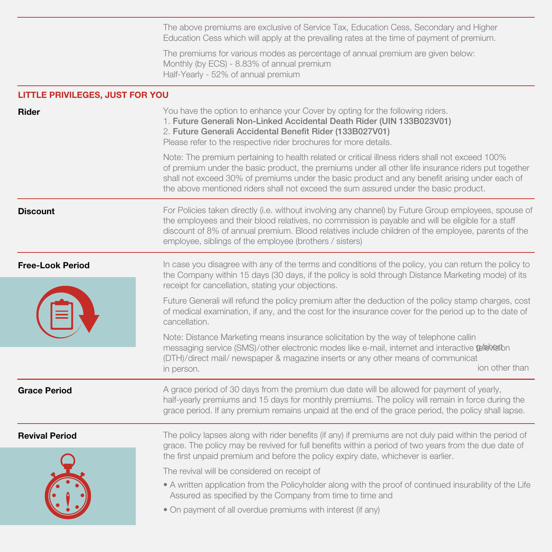The above premiums are exclusive of Service Tax, Education Cess, Secondary and Higher Education Cess which will apply at the prevailing rates at the time of payment of premium.

The premiums for various modes as percentage of annual premium are given below: Monthly (by ECS) - 8.83% of annual premium Half-Yearly - 52% of annual premium

# **LITTLE PRIVILEGES, JUST FOR YOU**

| <b>Rider</b>            | You have the option to enhance your Cover by opting for the following riders.<br>1. Future Generali Non-Linked Accidental Death Rider (UIN 133B023V01)<br>2. Future Generali Accidental Benefit Rider (133B027V01)<br>Please refer to the respective rider brochures for more details.<br>Note: The premium pertaining to health related or critical illness riders shall not exceed 100%<br>of premium under the basic product, the premiums under all other life insurance riders put together<br>shall not exceed 30% of premiums under the basic product and any benefit arising under each of<br>the above mentioned riders shall not exceed the sum assured under the basic product. |
|-------------------------|--------------------------------------------------------------------------------------------------------------------------------------------------------------------------------------------------------------------------------------------------------------------------------------------------------------------------------------------------------------------------------------------------------------------------------------------------------------------------------------------------------------------------------------------------------------------------------------------------------------------------------------------------------------------------------------------|
| <b>Discount</b>         | For Policies taken directly (i.e. without involving any channel) by Future Group employees, spouse of<br>the employees and their blood relatives, no commission is payable and will be eligible for a staff<br>discount of 8% of annual premium. Blood relatives include children of the employee, parents of the<br>employee, siblings of the employee (brothers / sisters)                                                                                                                                                                                                                                                                                                               |
| <b>Free-Look Period</b> | In case you disagree with any of the terms and conditions of the policy, you can return the policy to<br>the Company within 15 days (30 days, if the policy is sold through Distance Marketing mode) of its<br>receipt for cancellation, stating your objections.                                                                                                                                                                                                                                                                                                                                                                                                                          |
|                         | Future Generali will refund the policy premium after the deduction of the policy stamp charges, cost<br>of medical examination, if any, and the cost for the insurance cover for the period up to the date of<br>cancellation.                                                                                                                                                                                                                                                                                                                                                                                                                                                             |
|                         | Note: Distance Marketing means insurance solicitation by the way of telephone callin<br>messaging service (SMS)/other electronic modes like e-mail, internet and interactive belowaton<br>(DTH)/direct mail/ newspaper & magazine inserts or any other means of communicat<br>ion other than<br>in person.                                                                                                                                                                                                                                                                                                                                                                                 |
| <b>Grace Period</b>     | A grace period of 30 days from the premium due date will be allowed for payment of yearly,<br>half-yearly premiums and 15 days for monthly premiums. The policy will remain in force during the<br>grace period. If any premium remains unpaid at the end of the grace period, the policy shall lapse.                                                                                                                                                                                                                                                                                                                                                                                     |
| <b>Revival Period</b>   | The policy lapses along with rider benefits (if any) if premiums are not duly paid within the period of<br>grace. The policy may be revived for full benefits within a period of two years from the due date of<br>the first unpaid premium and before the policy expiry date, whichever is earlier.<br>The revival will be considered on receipt of<br>• A written application from the Policyholder along with the proof of continued insurability of the Life<br>Assured as specified by the Company from time to time and<br>• On payment of all overdue premiums with interest (if any)                                                                                               |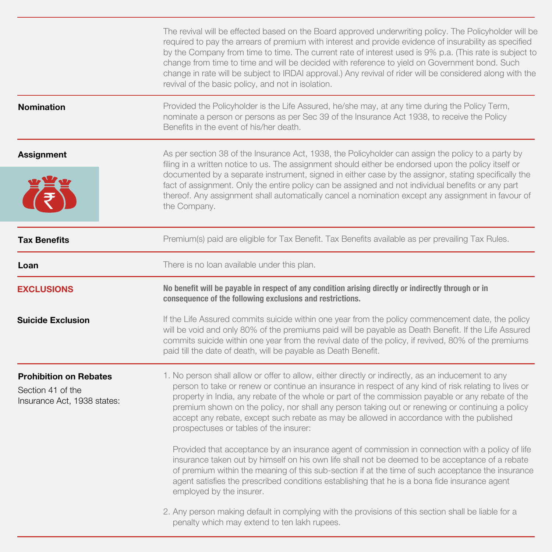|                                                                                   | The revival will be effected based on the Board approved underwriting policy. The Policyholder will be<br>required to pay the arrears of premium with interest and provide evidence of insurability as specified<br>by the Company from time to time. The current rate of interest used is 9% p.a. (This rate is subject to<br>change from time to time and will be decided with reference to yield on Government bond. Such<br>change in rate will be subject to IRDAI approval.) Any revival of rider will be considered along with the<br>revival of the basic policy, and not in isolation. |  |
|-----------------------------------------------------------------------------------|-------------------------------------------------------------------------------------------------------------------------------------------------------------------------------------------------------------------------------------------------------------------------------------------------------------------------------------------------------------------------------------------------------------------------------------------------------------------------------------------------------------------------------------------------------------------------------------------------|--|
| <b>Nomination</b>                                                                 | Provided the Policyholder is the Life Assured, he/she may, at any time during the Policy Term,<br>nominate a person or persons as per Sec 39 of the Insurance Act 1938, to receive the Policy<br>Benefits in the event of his/her death.                                                                                                                                                                                                                                                                                                                                                        |  |
| <b>Assignment</b>                                                                 | As per section 38 of the Insurance Act, 1938, the Policyholder can assign the policy to a party by<br>filing in a written notice to us. The assignment should either be endorsed upon the policy itself or<br>documented by a separate instrument, signed in either case by the assignor, stating specifically the<br>fact of assignment. Only the entire policy can be assigned and not individual benefits or any part<br>thereof. Any assignment shall automatically cancel a nomination except any assignment in favour of<br>the Company.                                                  |  |
| <b>Tax Benefits</b>                                                               | Premium(s) paid are eligible for Tax Benefit. Tax Benefits available as per prevailing Tax Rules.                                                                                                                                                                                                                                                                                                                                                                                                                                                                                               |  |
| Loan                                                                              | There is no loan available under this plan.                                                                                                                                                                                                                                                                                                                                                                                                                                                                                                                                                     |  |
| <b>EXCLUSIONS</b>                                                                 | No benefit will be payable in respect of any condition arising directly or indirectly through or in<br>consequence of the following exclusions and restrictions.                                                                                                                                                                                                                                                                                                                                                                                                                                |  |
| <b>Suicide Exclusion</b>                                                          | If the Life Assured commits suicide within one year from the policy commencement date, the policy<br>will be void and only 80% of the premiums paid will be payable as Death Benefit. If the Life Assured<br>commits suicide within one year from the revival date of the policy, if revived, 80% of the premiums<br>paid till the date of death, will be payable as Death Benefit.                                                                                                                                                                                                             |  |
| <b>Prohibition on Rebates</b><br>Section 41 of the<br>Insurance Act, 1938 states: | 1. No person shall allow or offer to allow, either directly or indirectly, as an inducement to any<br>person to take or renew or continue an insurance in respect of any kind of risk relating to lives or<br>property in India, any rebate of the whole or part of the commission payable or any rebate of the<br>premium shown on the policy, nor shall any person taking out or renewing or continuing a policy<br>accept any rebate, except such rebate as may be allowed in accordance with the published<br>prospectuses or tables of the insurer:                                        |  |
|                                                                                   | Provided that acceptance by an insurance agent of commission in connection with a policy of life<br>insurance taken out by himself on his own life shall not be deemed to be acceptance of a rebate<br>of premium within the meaning of this sub-section if at the time of such acceptance the insurance<br>agent satisfies the prescribed conditions establishing that he is a bona fide insurance agent<br>employed by the insurer.                                                                                                                                                           |  |
|                                                                                   | 2. Any person making default in complying with the provisions of this section shall be liable for a<br>penalty which may extend to ten lakh rupees.                                                                                                                                                                                                                                                                                                                                                                                                                                             |  |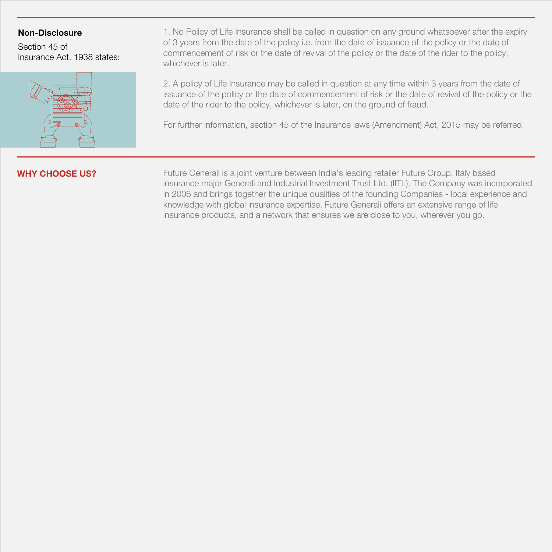# **Non-Disclosure**

Section 45 of Insurance Act, 1938 states:



1. No Policy of Life Insurance shall be called in question on any ground whatsoever after the expiry of 3 years from the date of the policy i.e. from the date of issuance of the policy or the date of commencement of risk or the date of revival of the policy or the date of the rider to the policy, whichever is later.

2. A policy of Life Insurance may be called in question at any time within 3 years from the date of issuance of the policy or the date of commencement of risk or the date of revival of the policy or the date of the rider to the policy, whichever is later, on the ground of fraud.

For further information, section 45 of the Insurance laws (Amendment) Act, 2015 may be referred.

**WHY CHOOSE US?** Future Generali is a joint venture between India's leading retailer Future Group, Italy based insurance major Generali and Industrial Investment Trust Ltd. (IITL). The Company was incorporated in 2006 and brings together the unique qualities of the founding Companies - local experience and knowledge with global insurance expertise. Future Generali offers an extensive range of life insurance products, and a network that ensures we are close to you, wherever you go.